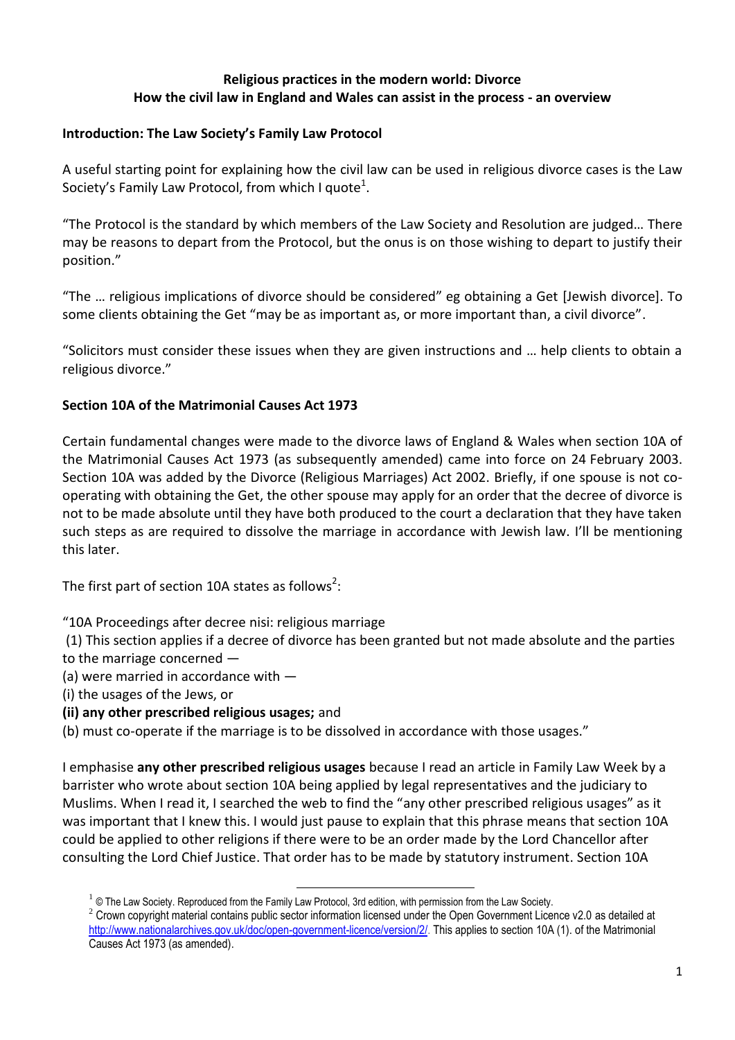### **Religious practices in the modern world: Divorce How the civil law in England and Wales can assist in the process - an overview**

# **Introduction: The Law Society's Family Law Protocol**

A useful starting point for explaining how the civil law can be used in religious divorce cases is the Law Society's Family Law Protocol, from which I quote $^1$ .

"The Protocol is the standard by which members of the Law Society and Resolution are judged… There may be reasons to depart from the Protocol, but the onus is on those wishing to depart to justify their position."

"The … religious implications of divorce should be considered" eg obtaining a Get [Jewish divorce]. To some clients obtaining the Get "may be as important as, or more important than, a civil divorce".

"Solicitors must consider these issues when they are given instructions and … help clients to obtain a religious divorce."

# **Section 10A of the Matrimonial Causes Act 1973**

Certain fundamental changes were made to the divorce laws of England & Wales when section 10A of the Matrimonial Causes Act 1973 (as subsequently amended) came into force on 24 February 2003. Section 10A was added by the Divorce (Religious Marriages) Act 2002. Briefly, if one spouse is not cooperating with obtaining the Get, the other spouse may apply for an order that the decree of divorce is not to be made absolute until they have both produced to the court a declaration that they have taken such steps as are required to dissolve the marriage in accordance with Jewish law. I'll be mentioning this later.

The first part of section 10A states as follows<sup>2</sup>:

"10A Proceedings after decree nisi: religious marriage

(1) This section applies if a decree of divorce has been granted but not made absolute and the parties to the marriage concerned —

- (a) were married in accordance with —
- (i) the usages of the Jews, or

# **(ii) any other prescribed religious usages;** and

(b) must co-operate if the marriage is to be dissolved in accordance with those usages."

I emphasise **any other prescribed religious usages** because I read an article in Family Law Week by a barrister who wrote about section 10A being applied by legal representatives and the judiciary to Muslims. When I read it, I searched the web to find the "any other prescribed religious usages" as it was important that I knew this. I would just pause to explain that this phrase means that section 10A could be applied to other religions if there were to be an order made by the Lord Chancellor after consulting the Lord Chief Justice. That order has to be made by statutory instrument. Section 10A

**.** 

 $1 \otimes$  The Law Society. Reproduced from the Family Law Protocol, 3rd edition, with permission from the Law Society.

 $2$  Crown copyright material contains public sector information licensed under the Open Government Licence v2.0 as detailed at [http://www.nationalarchives.gov.uk/doc/open-government-licence/version/2/.](http://www.nationalarchives.gov.uk/doc/open-government-licence/version/2/) This applies to section 10A (1). of the Matrimonial Causes Act 1973 (as amended).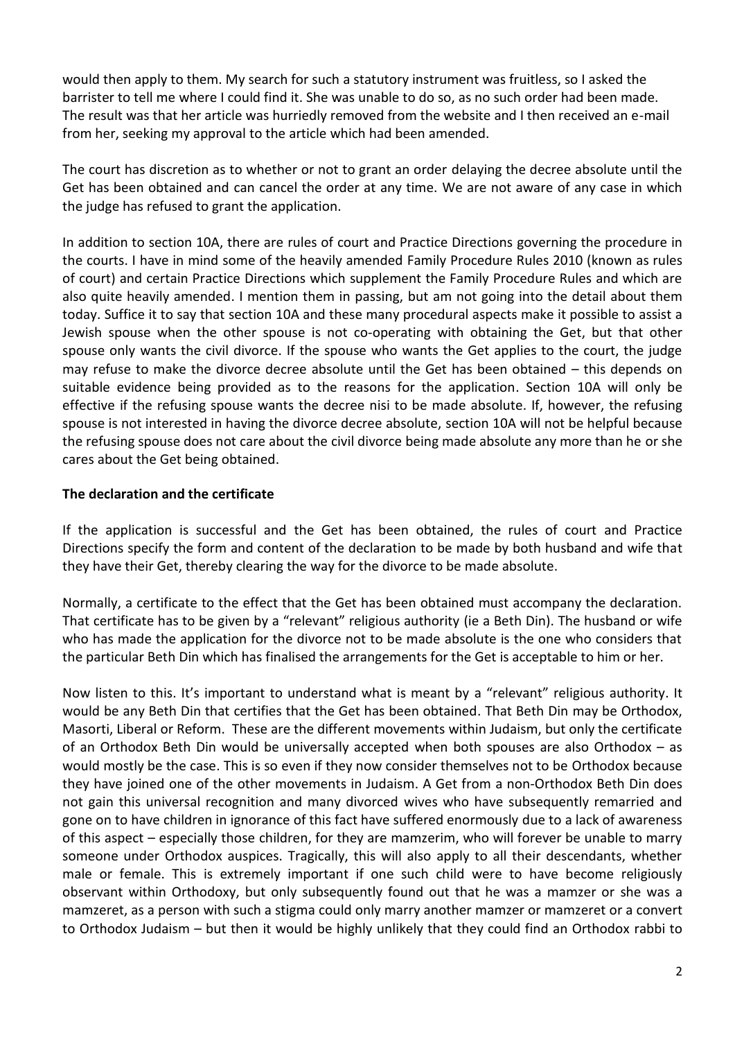would then apply to them. My search for such a statutory instrument was fruitless, so I asked the barrister to tell me where I could find it. She was unable to do so, as no such order had been made. The result was that her article was hurriedly removed from the website and I then received an e-mail from her, seeking my approval to the article which had been amended.

The court has discretion as to whether or not to grant an order delaying the decree absolute until the Get has been obtained and can cancel the order at any time. We are not aware of any case in which the judge has refused to grant the application.

In addition to section 10A, there are rules of court and Practice Directions governing the procedure in the courts. I have in mind some of the heavily amended Family Procedure Rules 2010 (known as rules of court) and certain Practice Directions which supplement the Family Procedure Rules and which are also quite heavily amended. I mention them in passing, but am not going into the detail about them today. Suffice it to say that section 10A and these many procedural aspects make it possible to assist a Jewish spouse when the other spouse is not co-operating with obtaining the Get, but that other spouse only wants the civil divorce. If the spouse who wants the Get applies to the court, the judge may refuse to make the divorce decree absolute until the Get has been obtained – this depends on suitable evidence being provided as to the reasons for the application. Section 10A will only be effective if the refusing spouse wants the decree nisi to be made absolute. If, however, the refusing spouse is not interested in having the divorce decree absolute, section 10A will not be helpful because the refusing spouse does not care about the civil divorce being made absolute any more than he or she cares about the Get being obtained.

# **The declaration and the certificate**

If the application is successful and the Get has been obtained, the rules of court and Practice Directions specify the form and content of the declaration to be made by both husband and wife that they have their Get, thereby clearing the way for the divorce to be made absolute.

Normally, a certificate to the effect that the Get has been obtained must accompany the declaration. That certificate has to be given by a "relevant" religious authority (ie a Beth Din). The husband or wife who has made the application for the divorce not to be made absolute is the one who considers that the particular Beth Din which has finalised the arrangements for the Get is acceptable to him or her.

Now listen to this. It's important to understand what is meant by a "relevant" religious authority. It would be any Beth Din that certifies that the Get has been obtained. That Beth Din may be Orthodox, Masorti, Liberal or Reform. These are the different movements within Judaism, but only the certificate of an Orthodox Beth Din would be universally accepted when both spouses are also Orthodox – as would mostly be the case. This is so even if they now consider themselves not to be Orthodox because they have joined one of the other movements in Judaism. A Get from a non-Orthodox Beth Din does not gain this universal recognition and many divorced wives who have subsequently remarried and gone on to have children in ignorance of this fact have suffered enormously due to a lack of awareness of this aspect – especially those children, for they are mamzerim, who will forever be unable to marry someone under Orthodox auspices. Tragically, this will also apply to all their descendants, whether male or female. This is extremely important if one such child were to have become religiously observant within Orthodoxy, but only subsequently found out that he was a mamzer or she was a mamzeret, as a person with such a stigma could only marry another mamzer or mamzeret or a convert to Orthodox Judaism – but then it would be highly unlikely that they could find an Orthodox rabbi to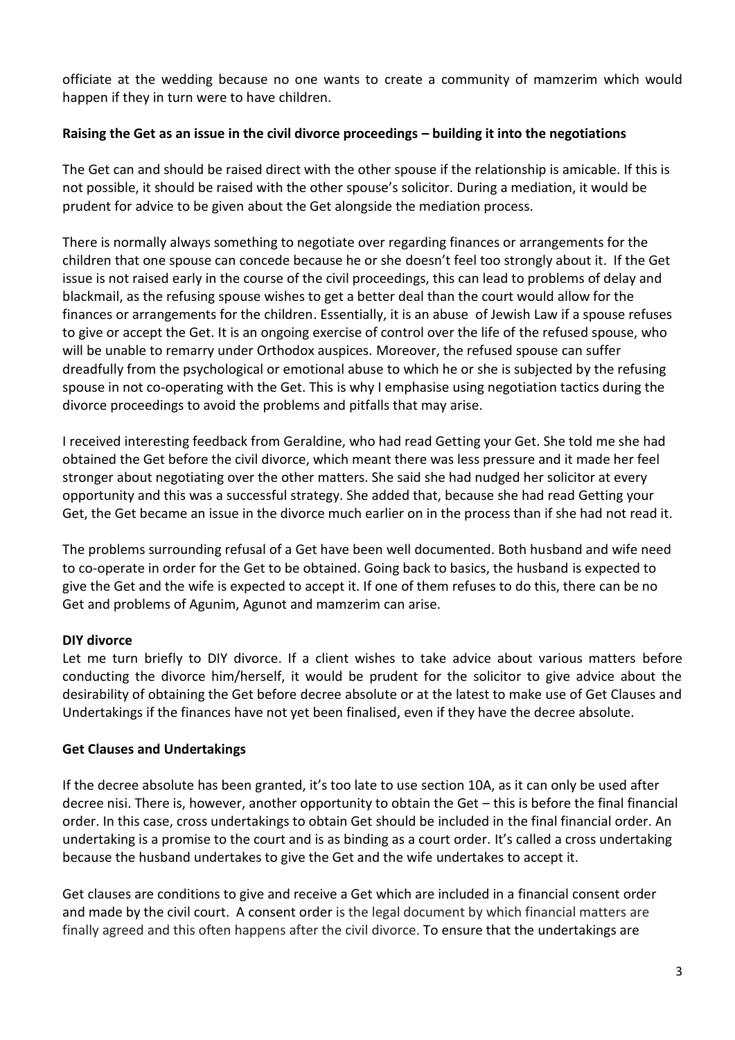officiate at the wedding because no one wants to create a community of mamzerim which would happen if they in turn were to have children.

## **Raising the Get as an issue in the civil divorce proceedings – building it into the negotiations**

The Get can and should be raised direct with the other spouse if the relationship is amicable. If this is not possible, it should be raised with the other spouse's solicitor. During a mediation, it would be prudent for advice to be given about the Get alongside the mediation process.

There is normally always something to negotiate over regarding finances or arrangements for the children that one spouse can concede because he or she doesn't feel too strongly about it. If the Get issue is not raised early in the course of the civil proceedings, this can lead to problems of delay and blackmail, as the refusing spouse wishes to get a better deal than the court would allow for the finances or arrangements for the children. Essentially, it is an abuse of Jewish Law if a spouse refuses to give or accept the Get. It is an ongoing exercise of control over the life of the refused spouse, who will be unable to remarry under Orthodox auspices. Moreover, the refused spouse can suffer dreadfully from the psychological or emotional abuse to which he or she is subjected by the refusing spouse in not co-operating with the Get. This is why I emphasise using negotiation tactics during the divorce proceedings to avoid the problems and pitfalls that may arise.

I received interesting feedback from Geraldine, who had read Getting your Get. She told me she had obtained the Get before the civil divorce, which meant there was less pressure and it made her feel stronger about negotiating over the other matters. She said she had nudged her solicitor at every opportunity and this was a successful strategy. She added that, because she had read Getting your Get, the Get became an issue in the divorce much earlier on in the process than if she had not read it.

The problems surrounding refusal of a Get have been well documented. Both husband and wife need to co-operate in order for the Get to be obtained. Going back to basics, the husband is expected to give the Get and the wife is expected to accept it. If one of them refuses to do this, there can be no Get and problems of Agunim, Agunot and mamzerim can arise.

# **DIY divorce**

Let me turn briefly to DIY divorce. If a client wishes to take advice about various matters before conducting the divorce him/herself, it would be prudent for the solicitor to give advice about the desirability of obtaining the Get before decree absolute or at the latest to make use of Get Clauses and Undertakings if the finances have not yet been finalised, even if they have the decree absolute.

#### **Get Clauses and Undertakings**

If the decree absolute has been granted, it's too late to use section 10A, as it can only be used after decree nisi. There is, however, another opportunity to obtain the Get – this is before the final financial order. In this case, cross undertakings to obtain Get should be included in the final financial order. An undertaking is a promise to the court and is as binding as a court order. It's called a cross undertaking because the husband undertakes to give the Get and the wife undertakes to accept it.

Get clauses are conditions to give and receive a Get which are included in a financial consent order and made by the civil court. A consent order is the legal document by which financial matters are finally agreed and this often happens after the civil divorce. To ensure that the undertakings are